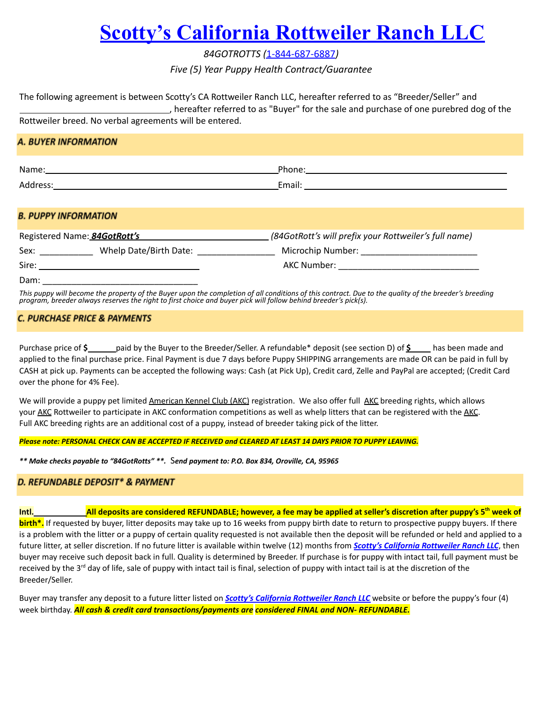# **[Scotty's California Rottweiler Ranch](http://84gotrotts.com/) LLC**

*84GOTROTTS (*1-844-687-6887*)*

*Five (5) Year Puppy Health Contract/Guarantee*

| The following agreement is between Scotty's CA Rottweiler Ranch LLC, hereafter referred to as "Breeder/Seller" and |  |  |  |  |
|--------------------------------------------------------------------------------------------------------------------|--|--|--|--|
| , hereafter referred to as "Buyer" for the sale and purchase of one purebred dog of the                            |  |  |  |  |
| Rottweiler breed. No verbal agreements will be entered.                                                            |  |  |  |  |

## A. BUYER INFORMATION

| Name:                         | <b>Dhana</b><br>,,,,,       |
|-------------------------------|-----------------------------|
| $A - I$<br>∩drer ∟<br>111123. | $T_{max}$<br><b>LIIIdil</b> |

### **B. PUPPY INFORMATION**

|       | Registered Name: 84GotRott's | (84GotRott's will prefix your Rottweiler's full name) |
|-------|------------------------------|-------------------------------------------------------|
| Sex:  | Whelp Date/Birth Date:       | Microchip Number:                                     |
| Sire: |                              | AKC Number:                                           |
| Dam:  |                              |                                                       |

*This puppy will become the property of the Buyer upon the completion of all conditions of this contract. Due to the quality of the breeder's breeding program, breeder always reserves the right to first choice and buyer pick will follow behind breeder's pick(s).*

# **C. PURCHASE PRICE & PAYMENTS**

Purchase price of **\$** paid by the Buyer to the Breeder/Seller. A refundable\* deposit (see section D) of **\$** has been made and applied to the final purchase price. Final Payment is due 7 days before Puppy SHIPPING arrangements are made OR can be paid in full by CASH at pick up. Payments can be accepted the following ways: Cash (at Pick Up), Credit card, Zelle and PayPal are accepted; (Credit Card over the phone for 4% Fee).

We will provide a puppy pet limited [American](https://www.akc.org/) Kennel Club ([AKC](https://www.akc.org/)) registration. We also offer full AKC breeding rights, which allows your [AKC](https://www.akc.org/) Rottweiler to participate in AKC conformation competitions as well as whelp litters that can be registered with the [AKC](https://www.akc.org/). Full AKC breeding rights are an additional cost of a puppy, instead of breeder taking pick of the litter.

#### *Please note: PERSONAL CHECK CAN BE ACCEPTED IF RECEIVED and CLEARED AT LEAST 14 DAYS PRIOR TO PUPPY LEAVING.*

*\*\* Make checks payable to "84GotRotts" \*\*.* S*end payment to: P.O. Box 834, Oroville, CA, 95965*

## D. REFUNDABLE DEPOSIT\* & PAYMENT

Intl.\_\_\_\_\_\_\_\_\_\_\_\_\_\_\_\_\_\_\_\_\_All deposits are considered REFUNDABLE; however, a fee may be applied at seller's discretion after puppy's 5<sup>th</sup> week of **birth\*.** If requested by buyer, litter deposits may take up to 16 weeks from puppy birth date to return to prospective puppy buyers. If there is a problem with the litter or a puppy of certain quality requested is not available then the deposit will be refunded or held and applied to a future litter, at seller discretion. If no future litter is available within twelve (12) months from *Scotty's California [Rottweiler](https://84gotrotts.com/) Ranch LLC*, then buyer may receive such deposit back in full. Quality is determined by Breeder. If purchase is for puppy with intact tail, full payment must be received by the 3<sup>rd</sup> day of life, sale of puppy with intact tail is final, selection of puppy with intact tail is at the discretion of the Breeder/Seller.

Buyer may transfer any deposit to a future litter listed on *Scotty's California [Rottweiler](https://84gotrotts.com/) Ranch LLC* website or before the puppy's four (4) week birthday. *All cash & credit card transactions/payments are considered FINAL and NON- REFUNDABLE.*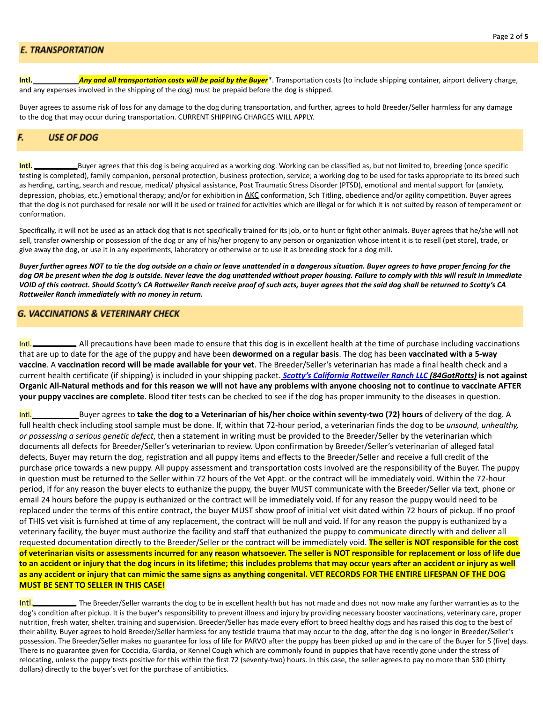#### **E. TRANSPORTATION**

**Intl.** *Any and all transportation costs will be paid by the Buyer\**. Transportation costs (to include shipping container, airport delivery charge, and any expenses involved in the shipping of the dog) must be prepaid before the dog is shipped.

Buyer agrees to assume risk of loss for any damage to the dog during transportation, and further, agrees to hold Breeder/Seller harmless for any damage to the dog that may occur during transportation. CURRENT SHIPPING CHARGES WILL APPLY.

#### **USE OF DOG** F.

**Intl.** Buyer agrees that this dog is being acquired as a working dog. Working can be classified as, but not limited to, breeding (once specific testing is completed), family companion, personal protection, business protection, service; a working dog to be used for tasks appropriate to its breed such as herding, carting, search and rescue, medical/ physical assistance, Post Traumatic Stress Disorder (PTSD), emotional and mental support for (anxiety, depression, phobias, etc.) emotional therapy; and/or for exhibition in [AKC](https://www.akc.org/) conformation, Sch Titling, obedience and/or agility competition. Buyer agrees that the dog is not purchased for resale nor will it be used or trained for activities which are illegal or for which it is not suited by reason of temperament or conformation.

Specifically, it will not be used as an attack dog that is not specifically trained for its job, or to hunt or fight other animals. Buyer agrees that he/she will not sell, transfer ownership or possession of the dog or any of his/her progeny to any person or organization whose intent it is to resell (pet store), trade, or give away the dog, or use it in any experiments, laboratory or otherwise or to use it as breeding stock for a dog mill.

*Buyer further agrees NOT to tie the dog outside on a chain or leave unattended in a dangerous situation. Buyer agrees to have proper fencing for the dog OR be present when the dog is outside. Never leave the dog unattended without proper housing. Failure to comply with this will result in immediate VOID of this contract. Should Scotty's CA Rottweiler Ranch receive proof of such acts, buyer agrees that the said dog shall be returned to Scotty's CA Rottweiler Ranch immediately with no money in return.*

### **G. VACCINATIONS & VETERINARY CHECK**

Intl. All precautions have been made to ensure that this dog is in excellent health at the time of purchase including vaccinations that are up to date for the age of the puppy and have been **dewormed on a regular basis**. The dog has been **vaccinated with a 5-way vaccine**. A **vaccination record will be made available for your vet**. The Breeder/Seller's veterinarian has made a final health check and a current health certificate (if shipping) is included in your shipping packet. *Scotty's California [Rottweiler](https://84gotrotts.com/) Ranch LLC (84GotRotts)* **is not against** Organic All-Natural methods and for this reason we will not have any problems with anyone choosing not to continue to vaccinate AFTER **your puppy vaccines are complete**. Blood titer tests can be checked to see if the dog has proper immunity to the diseases in question.

Intl. Buyer agrees to **take the dog to a Veterinarian of his/her choice within seventy-two (72) hours** of delivery of the dog. A full health check including stool sample must be done. If, within that 72-hour period, a veterinarian finds the dog to be *unsound, unhealthy, or possessing a serious genetic defect*, then a statement in writing must be provided to the Breeder/Seller by the veterinarian which documents all defects for Breeder/Seller's veterinarian to review. Upon confirmation by Breeder/Seller's veterinarian of alleged fatal defects, Buyer may return the dog, registration and all puppy items and effects to the Breeder/Seller and receive a full credit of the purchase price towards a new puppy. All puppy assessment and transportation costs involved are the responsibility of the Buyer. The puppy in question must be returned to the Seller within 72 hours of the Vet Appt. or the contract will be immediately void. Within the 72-hour period, if for any reason the buyer elects to euthanize the puppy, the buyer MUST communicate with the Breeder/Seller via text, phone or email 24 hours before the puppy is euthanized or the contract will be immediately void. If for any reason the puppy would need to be replaced under the terms of this entire contract, the buyer MUST show proof of initial vet visit dated within 72 hours of pickup. If no proof of THIS vet visit is furnished at time of any replacement, the contract will be null and void. If for any reason the puppy is euthanized by a veterinary facility, the buyer must authorize the facility and staff that euthanized the puppy to communicate directly with and deliver all requested documentation directly to the Breeder/Seller or the contract will be immediately void. **The seller is NOT responsible for the cost** of veterinarian visits or assessments incurred for any reason whatsoever. The seller is NOT responsible for replacement or loss of life due to an accident or injury that the dog incurs in its lifetime; this includes problems that may occur years after an accident or injury as well as any accident or injury that can mimic the same signs as anything congenital. VET RECORDS FOR THE ENTIRE LIFESPAN OF THE DOG **MUST BE SENT TO SELLER IN THIS CASE!**

Intl. The Breeder/Seller warrants the dog to be in excellent health but has not made and does not now make any further warranties as to the dog's condition after pickup. It is the buyer's responsibility to prevent illness and injury by providing necessary booster vaccinations, veterinary care, proper nutrition, fresh water, shelter, training and supervision. Breeder/Seller has made every effort to breed healthy dogs and has raised this dog to the best of their ability. Buyer agrees to hold Breeder/Seller harmless for any testicle trauma that may occur to the dog, after the dog is no longer in Breeder/Seller's possession. The Breeder/Seller makes no guarantee for loss of life for PARVO after the puppy has been picked up and in the care of the Buyer for 5 (five) days. There is no guarantee given for Coccidia, Giardia, or Kennel Cough which are commonly found in puppies that have recently gone under the stress of relocating, unless the puppy tests positive for this within the first 72 (seventy-two) hours. In this case, the seller agrees to pay no more than \$30 (thirty dollars) directly to the buyer's vet for the purchase of antibiotics.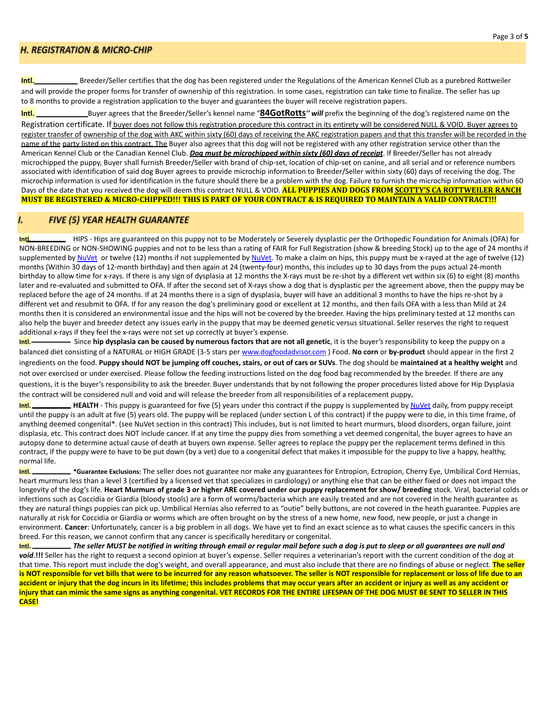### **H. REGISTRATION & MICRO-CHIP**

Intl. Breeder/Seller certifies that the dog has been registered under the Regulations of the American Kennel Club as a purebred Rottweiler and will provide the proper forms for transfer of ownership of this registration. In some cases, registration can take time to finalize. The seller has up to 8 months to provide a registration application to the buyer and guarantees the buyer will receive registration papers.

**Intl.** \_\_\_\_\_\_\_\_\_\_\_\_\_Buyer agrees that the Breeder/Seller's kennel name "**84GotRotts***'' will* prefix the beginning of the dog's registered name on the Registration certificate. If buyer does not follow this registration procedure this contract in its entirety will be considered NULL & VOID. Buyer agrees to register transfer of ownership of the dog with AKC within sixty (60) days of receiving the AKC registration papers and that this transfer will be recorded in the name of the party listed on this contract. The Buyer also agrees that this dog will not be registered with any other registration service other than the American Kennel Club or the Canadian Kennel Club. *Dog must be microchipped within sixty (60) days of receipt*. If Breeder/Seller has not already microchipped the puppy, Buyer shall furnish Breeder/Seller with brand of chip-set, location of chip-set on canine, and all serial and or reference numbers associated with identification of said dog Buyer agrees to provide microchip information to Breeder/Seller within sixty (60) days of receiving the dog. The microchip information is used for identification in the future should there be a problem with the dog. Failure to furnish the microchip information within 60 Days of the date that you received the dog will deem this contract NULL & VOID. **ALL PUPPIES AND DOGS FROM SCOTTY'S CA ROTTWEILER RANCH MUST BE REGISTERED & MICRO-CHIPPED!!! THIS IS PART OF YOUR CONTRACT & IS REQUIRED TO MAINTAIN A VALID CONTRACT!!!**

#### **FIVE (5) YEAR HEALTH GUARANTEE**

**Intl.** HIPS - Hips are guaranteed on this puppy not to be Moderately or Severely dysplastic per the Orthopedic Foundation for Animals (OFA) for NON-BREEDING or NON-SHOWING puppies and not to be less than a rating of FAIR for Full Registration (show & breeding Stock) up to the age of 24 months if supplemented by [NuVet](http://www.nuvet.com/19547) or twelve (12) months if not supplemented by NuVet. To make a claim on hips, this puppy must be x-rayed at the age of twelve (12) months (Within 30 days of 12-month birthday) and then again at 24 (twenty-four) months, this includes up to 30 days from the pups actual 24-month birthday to allow time for x-rays. If there is any sign of dysplasia at 12 months the X-rays must be re-shot by a different vet within six (6) to eight (8) months later and re-evaluated and submitted to OFA. If after the second set of X-rays show a dog that is dysplastic per the agreement above, then the puppy may be replaced before the age of 24 months. If at 24 months there is a sign of dysplasia, buyer will have an additional 3 months to have the hips re-shot by a different vet and resubmit to OFA. If for any reason the dog's preliminary good or excellent at 12 months, and then fails OFA with a less than Mild at 24 months then it is considered an environmental issue and the hips will not be covered by the breeder. Having the hips preliminary tested at 12 months can also help the buyer and breeder detect any issues early in the puppy that may be deemed genetic versus situational. Seller reserves the right to request additional x-rays if they feel the x-rays were not set up correctly at buyer's expense.

**Intl. Intermal articler is provided hy numerous factors that are not all genetic**, it is the buyer's responsibility to keep the puppy on a balanced diet consisting of a NATURAL or HIGH GRADE (3-5 stars per [www.dogfoodadvisor.com](http://www.dogfoodadvisor.com/) ) Food. **No corn** or **by-product** should appear in the first 2 ingredients on the food. **Puppy should NOT be jumping off couches, stairs, or out of cars or SUVs**. The dog should be **maintained at a healthy weight** and not over exercised or under exercised. Please follow the feeding instructions listed on the dog food bag recommended by the breeder. If there are any questions, it is the buyer's responsibility to ask the breeder. Buyer understands that by not following the proper procedures listed above for Hip Dysplasia the contract will be considered null and void and will release the breeder from all responsibilities of a replacement puppy**.**

**Intl. HEALTH** - This puppy is guaranteed for five (5) years under this contract if the puppy is supplemented by [NuVet](http://www.nuvet.com/19547) daily, from puppy receipt until the puppy is an adult at five (5) years old. The puppy will be replaced (under section L of this contract) if the puppy were to die, in this time frame, of anything deemed congenital\*. (see NuVet section in this contract) This includes, but is not limited to heart murmurs, blood disorders, organ failure, joint displasia, etc. This contract does NOT include cancer. If at any time the puppy dies from something a vet deemed congenital, the buyer agrees to have an autopsy done to determine actual cause of death at buyers own expense. Seller agrees to replace the puppy per the replacement terms defined in this contract, if the puppy were to have to be put down (by a vet) due to a congenital defect that makes it impossible for the puppy to live a happy, healthy, normal life.

**Intl. \*Guarantee Exclusions:** The seller does not guarantee nor make any guarantees for Entropion, Ectropion, Cherry Eye, Umbilical Cord Hernias, heart murmurs less than a level 3 (certified by a licensed vet that specializes in cardiology) or anything else that can be either fixed or does not impact the longevity of the dog's life. **Heart Murmurs of grade 3 or higher ARE covered under our puppy replacement for show/ breeding** stock. Viral, bacterial colds or infections such as Coccidia or Giardia (bloody stools) are a form of worms/bacteria which are easily treated and are not covered in the health guarantee as they are natural things puppies can pick up. Umbilical Hernias also referred to as "outie" belly buttons, are not covered in the heath guarantee. Puppies are naturally at risk for Coccidia or Giardia or worms which are often brought on by the stress of a new home, new food, new people, or just a change in environment. **Cancer**: Unfortunately, cancer is a big problem in all dogs. We have yet to find an exact science as to what causes the specific cancers in this breed. For this reason, we cannot confirm that any cancer is specifically hereditary or congenital.

**Intl.** *The seller MUST be notified in writing through email or regular mail before such a dog is put to sleep or all guarantees are null and* void.!!! Seller has the right to request a second opinion at buyer's expense. Seller requires a veterinarian's report with the current condition of the dog at that time. This report must include the dog's weight, and overall appearance, and must also include that there are no findings of abuse or neglect. **The seller is NOT responsible for vet bills that were to be incurred for any reason whatsoever. The seller is NOT responsible for replacement or loss of life due to an accident or injury that the dog incurs in its lifetime; this includes problems that may occur years after an accident or injury as well as any accident or injury that can mimic the same signs as anything congenital. VET RECORDS FOR THE ENTIRE LIFESPAN OF THE DOG MUST BE SENT TO SELLER IN THIS CASE!**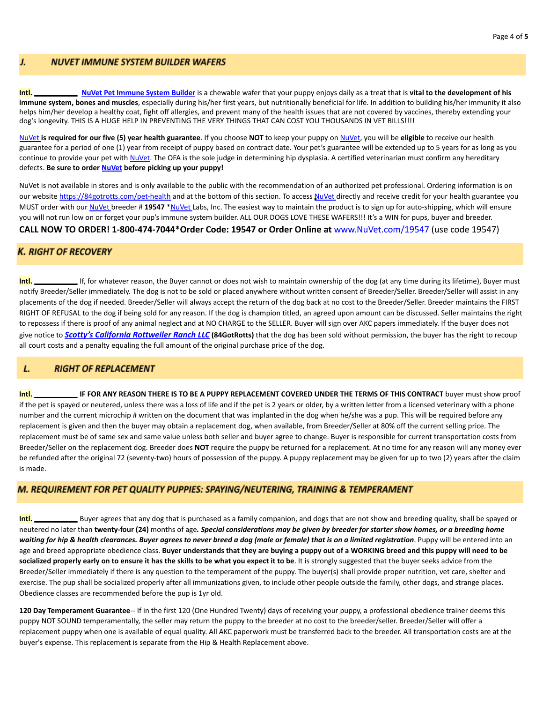#### **NUVET IMMUNE SYSTEM BUILDER WAFERS** J.

**Intl. [NuVet Pet Immune System Builder](http://www.nuvet.com/19547)** is a chewable wafer that your puppy enjoys daily as a treat that is **vital to the development of his immune system, bones and muscles**, especially during his/her first years, but nutritionally beneficial for life. In addition to building his/her immunity it also helps him/her develop a healthy coat, fight off allergies, and prevent many of the health issues that are not covered by vaccines, thereby extending your dog's longevity. THIS IS A HUGE HELP IN PREVENTING THE VERY THINGS THAT CAN COST YOU THOUSANDS IN VET BILLS!!!!

[NuVet](http://www.nuvet.com/19547) **is required for our five (5) year health guarantee**. If you choose **NOT** to keep your puppy on [NuVet](http://www.nuvet.com/19547), you will be **eligible** to receive our health guarantee for a period of one (1) year from receipt of puppy based on contract date. Your pet's guarantee will be extended up to 5 years for as long as you continue to provide your pet with [NuVet](http://www.nuvet.com/19547). The OFA is the sole judge in determining hip dysplasia. A certified veterinarian must confirm any hereditary defects. **Be sure to order [NuVet](http://www.nuvet.com/19547) before picking up your puppy!**

[NuVet](http://www.nuvet.com/19547) is not available in stores and is only available to the public with the recommendation of an authorized pet professional. Ordering information is on our website https://84gotrotts.com/pet-health and at the bottom of this section. To access [NuVet](http://www.nuvet.com/19547) directly and receive credit for your health guarantee you MUST order with our [NuVet](http://www.nuvet.com/19547) breeder # **19547** [\\*NuVet](http://www.nuvet.com/19547) Labs, Inc. The easiest way to maintain the product is to sign up for auto-shipping, which will ensure you will not run low on or forget your pup's immune system builder. ALL OUR DOGS LOVE THESE WAFERS!!! It's a WIN for pups, buyer and breeder. **CALL NOW TO ORDER! 1-800-474-7044\*Order Code: 19547 or Order Online at** [www.NuVet.com/19547](http://www.nuvet.com/19547) (use code 19547)

# **K. RIGHT OF RECOVERY**

**Intl.** Interact the U.S. If, for whatever reason, the Buyer cannot or does not wish to maintain ownership of the dog (at any time during its lifetime), Buyer must notify Breeder/Seller immediately. The dog is not to be sold or placed anywhere without written consent of Breeder/Seller. Breeder/Seller will assist in any placements of the dog if needed. Breeder/Seller will always accept the return of the dog back at no cost to the Breeder/Seller. Breeder maintains the FIRST RIGHT OF REFUSAL to the dog if being sold for any reason. If the dog is champion titled, an agreed upon amount can be discussed. Seller maintains the right to repossess if there is proof of any animal neglect and at NO CHARGE to the SELLER. Buyer will sign over AKC papers immediately. If the buyer does not give notice to *Scotty's California [Rottweiler](https://84gotrotts.com/) Ranch LLC* **(84GotRotts)** that the dog has been sold without permission, the buyer has the right to recoup all court costs and a penalty equaling the full amount of the original purchase price of the dog.

#### L. **RIGHT OF REPLACEMENT**

**Intl. IF FOR ANY REASON THERE IS TO BE A PUPPY REPLACEMENT COVERED UNDER THE TERMS OF THIS CONTRACT** buyer must show proof if the pet is spayed or neutered, unless there was a loss of life and if the pet is 2 years or older, by a written letter from a licensed veterinary with a phone number and the current microchip # written on the document that was implanted in the dog when he/she was a pup. This will be required before any replacement is given and then the buyer may obtain a replacement dog, when available, from Breeder/Seller at 80% off the current selling price. The replacement must be of same sex and same value unless both seller and buyer agree to change. Buyer is responsible for current transportation costs from Breeder/Seller on the replacement dog. Breeder does **NOT** require the puppy be returned for a replacement. At no time for any reason will any money ever be refunded after the original 72 (seventy-two) hours of possession of the puppy. A puppy replacement may be given for up to two (2) years after the claim is made.

#### M. REQUIREMENT FOR PET QUALITY PUPPIES: SPAYING/NEUTERING, TRAINING & TEMPERAMENT

**Intl.** Buyer agrees that any dog that is purchased as a family companion, and dogs that are not show and breeding quality, shall be spayed or neutered no later than **twenty-four (24)** months of age*. Special considerations may be given by breeder for starter show homes, or a breeding home* waiting for hip & health clearances. Buyer agrees to never breed a dog (male or female) that is on a limited registration. Puppy will be entered into an age and breed appropriate obedience class. **Buyer understands that they are buying a puppy out of a WORKING breed and this puppy will need to be socialized properly early on to ensure it has the skills to be what you expect it to be**. It is strongly suggested that the buyer seeks advice from the Breeder/Seller immediately if there is any question to the temperament of the puppy. The buyer(s) shall provide proper nutrition, vet care, shelter and exercise. The pup shall be socialized properly after all immunizations given, to include other people outside the family, other dogs, and strange places. Obedience classes are recommended before the pup is 1yr old.

**120 Day Temperament Guarantee**-- If in the first 120 (One Hundred Twenty) days of receiving your puppy, a professional obedience trainer deems this puppy NOT SOUND temperamentally, the seller may return the puppy to the breeder at no cost to the breeder/seller. Breeder/Seller will offer a replacement puppy when one is available of equal quality. All AKC paperwork must be transferred back to the breeder. All transportation costs are at the buyer's expense. This replacement is separate from the Hip & Health Replacement above.